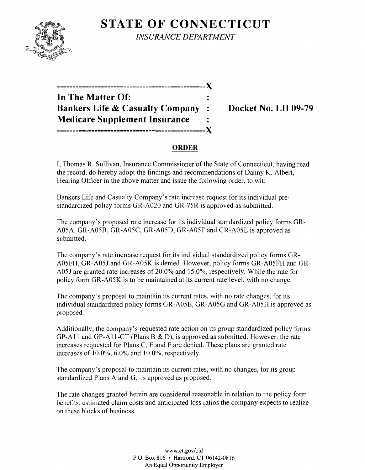

**STATE OF CONNECTICUT** *INSURANCE DEPARTMENT* 

| In The Matter Of:                          |              |
|--------------------------------------------|--------------|
| <b>Bankers Life &amp; Casualty Company</b> | $\mathbf{r}$ |
| <b>Medicare Supplement Insurance</b>       |              |
|                                            |              |
|                                            |              |

**Docket No. LH 09-79** 

### **ORDER**

T, Thomas R. Sullivan, Insurance Commissioner of the State of Connecticut, having read the record, do hereby adopt the findings and recommendations of Danny K. Albert, Hearing Officer in the above matter and issue the following order, to wit:

Bankers Life and Casualty Company's rate increase request for its individual prestandardized policy forms GR-A020 and GR-75R is approved as submitted.

The company's proposed rate increase for its individual standardized policy forms GR-A05A, GR-A05B, GR-A05C, GR-A05D, GR-A05F and GR-A05L is approved as submitted.

The company's rate increase request for its individual standardized policy forms GR-A05FH, GR-A051 and GR-A05K is denied. However, policy forms GR-A05FH and GR-A05J are granted rate increases of 20.0% and 15.0%, respectively. While the rate for policy form GR-A05K is to be maintained at its current rate level, with no change.

The company's proposal to maintain its current rates, with no rate changes, for its individual standardized policy forms GR-A05E, GR-A05G and GR-A05H is approved as proposed.

Additionally, the company's requested rate action on its group standardized policy forms GP-A11 and GP-A11-CT (Plans B & D), is approved as submitted. However. the rate increases requested for Plans C, E and F are denied. These plans are granted rate increases of 10.0%, 6.0% and 10.0%, respectively.

The company's proposal to maintain its current rates, with no changes, for its group standardized Plans A and G, is approved as proposed.

The rate changes granted herein are considered reasonable in relation to the policy form benefits, estimated claim costs and anticipated loss ratios the company expects to realize on these blocks of business.

> www.ct.gov/cid P.O. Box 816 • Hartford, CT 06142-0816 An Equal Opportunity Employer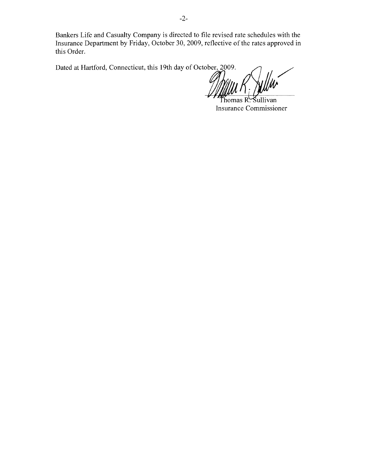Bankers Life and Casualty Company is directed to file revised rate schedules with the Insurance Department by Friday, October 30, 2009, reflective of the rates approved in this Order.

Dated at Hartford, Connecticut, this 19th day of October, 2009.

Thomas R. Sullivan Insurance Commissioner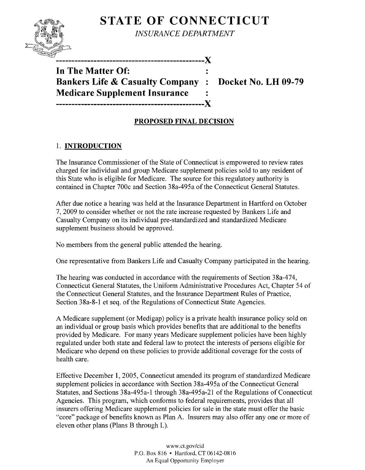# **STATE OF CONNECTICUT**



*INSURANCE DEPARTMENT* 

'> **-----------------------------------------------X** 

**In The Matter Of: Bankers Life & Casualty Company : Docket No. LH 09-79 Medicare Supplement Insurance -----------------------------------------------X** 

## **PROPOSED FINAL DECISION**

## 1. **INTRODUCTION**

The Insurance Commissioner of the State of Connecticut is empowered to review rates charged for individual and group Medicare supplement policies sold to any resident of this State who is eligible for Medicare. The source for this regulatory authority is contained in Chapter 700c and Section 38a-495a of the Connecticut General Statutes.

After due notice a hearing was held at the Insurance Department in Hartford on October 7,2009 to consider whether or not the rate increase requested by Bankers Life and Casualty Company on its individual pre-standardized and standardized Medicare supplement business should be approved.

No members from the general public attended the hearing.

One representative from Bankers Life and Casualty Company participated in the hearing.

The hearing was conducted in accordance with the requirements of Section 38a-474, Connecticut General Statutes, the Uniform Administrative Procedures Act, Chapter 54 of the Connecticut General Statutes, and the Insurance Department Rules of Practice, Section 38a-8-1 et seq. of the Regulations of Connecticut State Agencies.

A Medicare supplement (or Medigap) policy is a private health insurance policy sold on an individual or group basis which provides benefits that are additional to the benefits provided by Medicare. For many years Medicare supplement policies have been highly regulated under both state and federal law to protect the interests of persons eligible for Medicare who depend on these policies to provide additional coverage for the costs of health care.

Effective December 1, 2005, Connecticut amended its program of standardized Medicare supplement policies in accordance with Section 38a-495a of the Connecticut General Statutes, and Sections 38a-495a-1 through 38a-495a-21 of the Regulations of Connecticut Agencies. This program, which conforms to federal requirements, provides that all insurers offering Medicare supplement policies for sale in the state must offer the basic "core" package of benefits known as Plan A. Insurers may also offer anyone or more of eleven other plans (Plans B through L).

> www.ct.gov/cid P.O. Box 816 • Hartford, CT 06142-0816 An Equal Opportunity Employer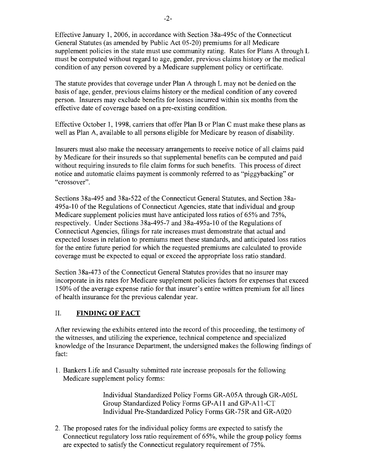Effective January 1,2006, in accordance with Section 38a-495c of the Connecticut General Statutes (as amended by Public Act 05-20) premiums for all Medicare supplement policies in the state must use community rating. Rates for Plans A through L must be computed without regard to age, gender, previous claims history or the medical condition of any person covered by a Medicare supplement policy or certificate.

The statute provides that coverage under Plan A through L may not be denied on the basis of age, gender, previous claims history or the medical condition of any covered person. Insurers may exclude benefits for losses incurred within six months from the effective date of coverage based on a pre-existing condition.

Effective October 1, 1998, carriers that offer Plan B or Plan C must make these plans as well as Plan A, available to all persons eligible for Medicare by reason of disability.

Insurers must also make the necessary arrangements to receive notice of all claims paid by Medicare for their insureds so that supplemental benefits can be computed and paid without requiring insureds to file claim forms for such benefits. This process of direct notice and automatic claims payment is commonly referred to as "piggybacking" or "crossover".

Sections 38a-495 and 38a-522 of the Connecticut General Statutes, and Section 38a-495a-10 ofthe Regulations of Connecticut Agencies, state that individual and group Medicare supplement policies must have anticipated loss ratios of 65% and 75%, respectively. Under Sections 38a-495-7 and 38a-495a-10 of the Regulations of Connecticut Agencies, filings for rate increases must demonstrate that actual and expected losses in relation to premiums meet these standards, and anticipated loss ratios for the entire future period for which the requested premiums are calculated to provide coverage must be expected to equal or exceed the appropriate loss ratio standard.

Section 38a-473 of the Connecticut General Statutes provides that no insurer may incorporate in its rates for Medicare supplement policies factors for expenses that exceed 150% of the average expense ratio for that insurer's entire written premium for all lines of health insurance for the previous calendar year.

### II. **FINDING OF FACT**

After reviewing the exhibits entered into the record of this proceeding, the testimony of the witnesses, and utilizing the experience, technical competence and specialized knowledge of the Insurance Department, the undersigned makes the following findings of fact:

1. Bankers Life and Casualty submitted rate increase proposals for the following Medicare supplement policy forms:

> Individual Standardized Policy Forms GR-A05A through GR-A05L Group Standardized Policy Forms GP-A11 and GP-A11-CT Individual Pre-Standardized Policy Forms GR-75R and GR-A020

2. The proposed rates for the individual policy forms are expected to satisfy the Connecticut regulatory loss ratio requirement of 65%, while the group policy forms are expected to satisfy the Connecticut regulatory requirement of 75%.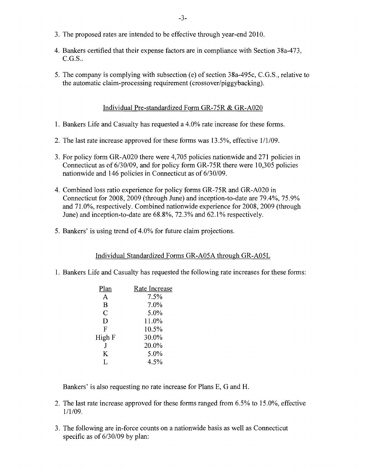- 3. The proposed rates are intended to be effective through year-end 2010.
- 4. Bankers certified that their expense factors are in compliance with Section 38a-473, C.G.S..
- 5. The company is complying with subsection (e) of section 38a-495c, C.G.S., relative to the automatic claim-processing requirement (crossover/piggybacking).

#### Individual Pre-standardized Form GR-75R & GR-A020

- 1. Bankers Life and Casualty has requested a 4.0% rate increase for these forms.
- 2. The last rate increase approved for these forms was  $13.5\%$ , effective  $1/1/09$ .
- 3. For policy form GR-A020 there were 4,705 policies nationwide and 271 policies in Connecticut as of 6/30/09, and for policy form GR-75R there were 10,305 policies nationwide and 146 policies in Connecticut as of 6/30/09.
- 4. Combined loss ratio experience for policy forms GR-75R and GR-A020 in Connecticut for 2008, 2009 (through June) and inception-to-date are 79.4%, 75.9% and 71.0%, respectively. Combined nationwide experience for 2008,2009 (through June) and inception-to-date are 68.8%, 72.3% and 62.1 % respectively.
- 5. Bankers' is using trend of 4.0% for future claim projections.

#### Individual Standardized Forms GR-A05A through GR-A05L

1. Bankers Life and Casualty has requested the following rate increases for these forms:

| Plan           | Rate Increase |
|----------------|---------------|
| A              | 7.5%          |
| B              | 7.0%          |
| $\overline{C}$ | 5.0%          |
| D              | 11.0%         |
| F              | 10.5%         |
| High F         | 30.0%         |
|                | 20.0%         |
| K              | 5.0%          |
| L              | 4.5%          |
|                |               |

Bankers' is also requesting no rate increase for Plans E, G and H.

- 2. The last rate increase approved for these forms ranged from 6.5% to 15.0%, effective 1/1/09.
- 3. The following are in-force counts on a nationwide basis as well as Connecticut specific as of  $6/30/09$  by plan: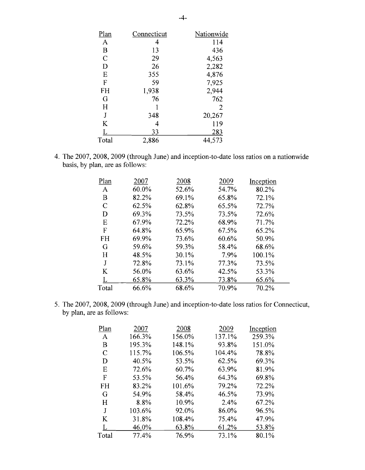| <u>Plan</u>   | Connecticut | Nationwide     |
|---------------|-------------|----------------|
| A             |             | 114            |
| $\bf{B}$      | 13          | 436            |
| $\mathcal{C}$ | 29          | 4,563          |
| D             | 26          | 2,282          |
| E             | 355         | 4,876          |
| F             | 59          | 7,925          |
| FH            | 1,938       | 2,944          |
| G             | 76          | 762            |
| H             |             | $\overline{2}$ |
| J             | 348         | 20,267         |
| K             |             | 119            |
| L             | 33          | 283            |
| Total         | 2,886       | 44,573         |

4. The 2007, 2008, 2009 (through June) and inception-to-date loss ratios on a nationwide basis, by plan, are as follows:

| Plan  | 2007  | 2008  | 2009  | Inception |
|-------|-------|-------|-------|-----------|
| A     | 60.0% | 52.6% | 54.7% | 80.2%     |
| Β     | 82.2% | 69.1% | 65.8% | 72.1%     |
| C     | 62.5% | 62.8% | 65.5% | 72.7%     |
| D     | 69.3% | 73.5% | 73.5% | 72.6%     |
| E     | 67.9% | 72.2% | 68.9% | 71.7%     |
| F     | 64.8% | 65.9% | 67.5% | 65.2%     |
| FH    | 69.9% | 73.6% | 60.6% | 50.9%     |
| G     | 59.6% | 59.3% | 58.4% | 68.6%     |
| H     | 48.5% | 30.1% | 7.9%  | 100.1%    |
| J     | 72.8% | 73.1% | 77.3% | 73.5%     |
| K     | 56.0% | 63.6% | 42.5% | 53.3%     |
|       | 65.8% | 63.3% | 73.8% | 65.6%     |
| Total | 66.6% | 68.6% | 70.9% | 70.2%     |

5. The 2007, 2008, 2009 (through June) and inception-to-date loss ratios for Connecticut, by plan, are as follows:

| Plan  | 2007   | 2008   | 2009   | Inception |
|-------|--------|--------|--------|-----------|
| A     | 166.3% | 156.0% | 137.1% | 259.3%    |
| B     | 195.3% | 148.1% | 93.8%  | 151.0%    |
| C     | 115.7% | 106.5% | 104.4% | 78.8%     |
| D     | 40.5%  | 53.5%  | 62.5%  | 69.3%     |
| E     | 72.6%  | 60.7%  | 63.9%  | 81.9%     |
| F     | 53.5%  | 56.4%  | 64.3%  | 69.8%     |
| FH    | 83.2%  | 101.6% | 79.2%  | 72.2%     |
| G     | 54.9%  | 58.4%  | 46.5%  | 73.9%     |
| H     | 8.8%   | 10.9%  | 2.4%   | 67.2%     |
| J     | 103.6% | 92.0%  | 86.0%  | 96.5%     |
| K     | 31.8%  | 108.4% | 75.4%  | 47.9%     |
|       | 46.0%  | 63.8%  | 61.2%  | 53.8%     |
| Total | 77.4%  | 76.9%  | 73.1%  | 80.1%     |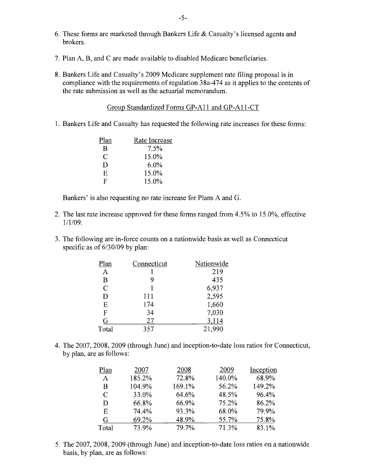- 6. These forms are marketed through Bankers Life  $&$  Casualty's licensed agents and brokers.
- 7. Plan A, B, and C are made available to disabled Medicare beneficiaries.
- 8. Bankers Life and Casualty's 2009 Medicare supplement rate filing proposal is in compliance with the requirements of regulation 38a-474 as it applies to the contents of the rate submission as well as the actuarial memorandum.

Group Standardized Forms GP-A11 and GP-A11-CT

1. Bankers Life and Casualty has requested the following rate increases for these forms:

| Plan         | Rate Increase |
|--------------|---------------|
| B            | 7.5%          |
| C            | 15.0%         |
| D            | 6.0%          |
| E            | 15.0%         |
| $\mathbf{F}$ | 15.0%         |

Bankers' is also requesting no rate increase for Plans A and G.

- 2. The last rate increase approved for these forms ranged from 4.5% to 15.0%, effective 1/1/09.
- 3. The following are in-force counts on a nationwide basis as well as Connecticut specific as of 6/30/09 by plan:

| Connecticut | Nationwide |
|-------------|------------|
|             | 219        |
| 9           | 435        |
|             | 6,937      |
| 111         | 2,595      |
| 174         | 1,660      |
| 34          | 7,030      |
| 27          | 3,114      |
| 357         | 21,990     |
|             |            |

4. The 2007, 2008, 2009 (through June) and inception-to-date loss ratios for Connecticut, by plan, are as follows:

| Plan  | 2007   | 2008   | 2009   | Inception |
|-------|--------|--------|--------|-----------|
| A     | 185.2% | 72.8%  | 140.0% | 68.9%     |
| B     | 104.9% | 169.1% | 56.2%  | 149.2%    |
| C     | 33.0%  | 64.6%  | 48.5%  | 96.4%     |
| D     | 66.8%  | 66.9%  | 75.2%  | 86.2%     |
| E     | 74.4%  | 93.3%  | 68.0%  | 79.9%     |
| G     | 69.2%  | 48.9%  | 55.7%  | 75.8%     |
| Total | 73.9%  | 79.7%  | 71.3%  | 83.1%     |

5. The 2007, 2008, 2009 (through June) and inception-to-date loss ratios on a nationwide basis, by plan, are as follows: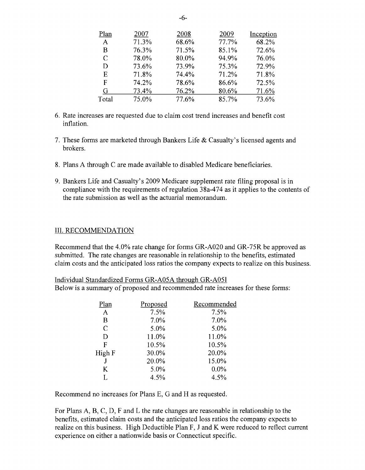| Plan         | 2007  | 2008  | 2009  | Inception |
|--------------|-------|-------|-------|-----------|
| $\mathbf{A}$ | 71.3% | 68.6% | 77.7% | 68.2%     |
| B            | 76.3% | 71.5% | 85.1% | 72.6%     |
| C            | 78.0% | 80.0% | 94.9% | 76.0%     |
| D            | 73.6% | 73.9% | 75.3% | 72.9%     |
| Е            | 71.8% | 74.4% | 71.2% | 71.8%     |
| F            | 74.2% | 78.6% | 86.6% | 72.5%     |
| G            | 73.4% | 76.2% | 80.6% | 71.6%     |
| Total        | 75.0% | 77.6% | 85.7% | 73.6%     |

- 6. Rate increases are requested due to claim cost trend increases and benefit cost inflation.
- 7. These forms are marketed through Bankers Life  $&$  Casualty's licensed agents and brokers.
- 8. Plans A through C are made available to disabled Medicare beneficiaries.
- 9. Bankers Life and Casualty's 2009 Medicare supplement rate filing proposal is in compliance with the requirements of regulation 38a-474 as it applies to the contents of the rate submission as well as the actuarial memorandum.

#### III. RECOMMENDATION

Recommend that the 4.0% rate change for forms GR-A020 and GR-75R be approved as submitted. The rate changes are reasonable in relationship to the benefits, estimated claim costs and the anticipated loss ratios the company expects to realize on this business.

Individual Standardized Forms GR-A05A through GR-A05I Below is a summary of proposed and recommended rate increases for these forms:

| Plan          | Proposed | Recommended |
|---------------|----------|-------------|
| A             | 7.5%     | 7.5%        |
| B             | 7.0%     | 7.0%        |
| $\mathcal{C}$ | 5.0%     | 5.0%        |
| D             | 11.0%    | 11.0%       |
| F             | 10.5%    | 10.5%       |
| High F        | 30.0%    | 20.0%       |
| J             | 20.0%    | 15.0%       |
| K             | 5.0%     | $0.0\%$     |
| Τ.            | 4.5%     | 4.5%        |
|               |          |             |

Recommend no increases for Plans E, G and H as requested.

For Plans A, B, C, D, F and L the rate changes are reasonable in relationship to the benefits, estimated claim costs and the anticipated loss ratios the company expects to realize on this business. High Deductible Plan F, J and K were reduced to reflect current experience on either a nationwide basis or Connecticut specific.